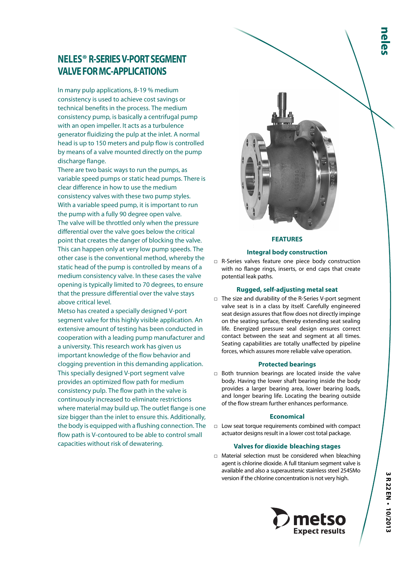In many pulp applications, 8-19 % medium consistency is used to achieve cost savings or technical benefits in the process. The medium consistency pump, is basically a centrifugal pump with an open impeller. It acts as a turbulence generator fluidizing the pulp at the inlet. A normal head is up to 150 meters and pulp flow is controlled by means of a valve mounted directly on the pump discharge flange.

There are two basic ways to run the pumps, as variable speed pumps or static head pumps. There is clear difference in how to use the medium consistency valves with these two pump styles. With a variable speed pump, it is important to run the pump with a fully 90 degree open valve. The valve will be throttled only when the pressure differential over the valve goes below the critical point that creates the danger of blocking the valve. This can happen only at very low pump speeds. The other case is the conventional method, whereby the static head of the pump is controlled by means of a medium consistency valve. In these cases the valve opening is typically limited to 70 degrees, to ensure that the pressure differential over the valve stays above critical level.

Metso has created a specially designed V-port segment valve for this highly visible application. An extensive amount of testing has been conducted in cooperation with a leading pump manufacturer and a university. This research work has given us important knowledge of the flow behavior and clogging prevention in this demanding application. This specially designed V-port segment valve provides an optimized flow path for medium consistency pulp. The flow path in the valve is continuously increased to eliminate restrictions where material may build up. The outlet flange is one size bigger than the inlet to ensure this. Additionally, the body is equipped with a flushing connection. The flow path is V-contoured to be able to control small capacities without risk of dewatering.



#### **FEATURES**

### **Integral body construction**

□ R-Series valves feature one piece body construction with no flange rings, inserts, or end caps that create potential leak paths.

### **Rugged, self-adjusting metal seat**

□ The size and durability of the R-Series V-port segment valve seat is in a class by itself. Carefully engineered seat design assures that flow does not directly impinge on the seating surface, thereby extending seat sealing life. Energized pressure seal design ensures correct contact between the seat and segment at all times. Seating capabilities are totally unaffected by pipeline forces, which assures more reliable valve operation.

### **Protected bearings**

□ Both trunnion bearings are located inside the valve body. Having the lower shaft bearing inside the body provides a larger bearing area, lower bearing loads, and longer bearing life. Locating the bearing outside of the flow stream further enhances performance.

#### **Economical**

□ Low seat torque requirements combined with compact actuator designs result in a lower cost total package.

### **Valves for dioxide bleaching stages**

□ Material selection must be considered when bleaching agent is chlorine dioxide. A full titanium segment valve is available and also a superaustenic stainless steel 254SMo version if the chlorine concentration is not very high.

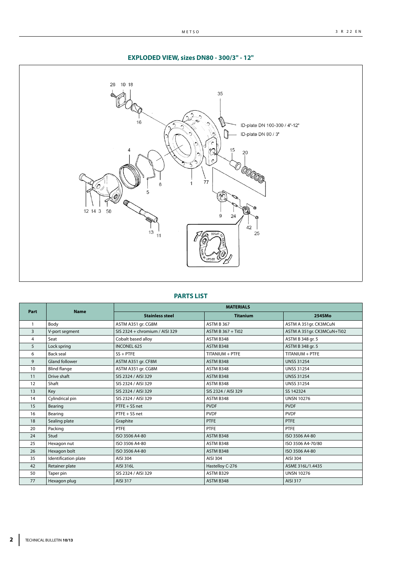METSO

# **EXPLODED VIEW, sizes DN80 - 300/3" - 12"**



# **PARTS LIST**

| Part | <b>Name</b>           | <b>MATERIALS</b>               |                     |                            |  |  |  |  |  |  |  |  |
|------|-----------------------|--------------------------------|---------------------|----------------------------|--|--|--|--|--|--|--|--|
|      |                       | <b>Stainless steel</b>         | <b>Titanium</b>     | 254SMo                     |  |  |  |  |  |  |  |  |
|      | Body                  | ASTM A351 gr. CG8M             | ASTM B 367          | ASTM A 351gr. CK3MCuN      |  |  |  |  |  |  |  |  |
| 3    | V-port segment        | SIS 2324 + chromium / AISI 329 | ASTM B 367 + Ti02   | ASTM A 351gr. CK3MCuN+Ti02 |  |  |  |  |  |  |  |  |
| 4    | Seat                  | Cobalt based alloy             | ASTM B348           | ASTM B 348 gr. 5           |  |  |  |  |  |  |  |  |
| 5    | Lock spring           | <b>INCONEL 625</b>             | ASTM B348           | ASTM B 348 gr. 5           |  |  |  |  |  |  |  |  |
| 6    | <b>Back seal</b>      | $SS + PTFE$                    | TITANIUM + PTFE     | TITANIUM + PTFE            |  |  |  |  |  |  |  |  |
| 9    | <b>Gland follower</b> | ASTM A351 gr. CF8M             | ASTM B348           | <b>UNSS 31254</b>          |  |  |  |  |  |  |  |  |
| 10   | <b>Blind flange</b>   | ASTM A351 gr. CG8M             | ASTM B348           | <b>UNSS 31254</b>          |  |  |  |  |  |  |  |  |
| 11   | Drive shaft           | SIS 2324 / AISI 329            | ASTM B348           | <b>UNSS 31254</b>          |  |  |  |  |  |  |  |  |
| 12   | Shaft                 | SIS 2324 / AISI 329            | ASTM B348           | <b>UNSS 31254</b>          |  |  |  |  |  |  |  |  |
| 13   | Key                   | SIS 2324 / AISI 329            | SIS 2324 / AISI 329 | SS 142324                  |  |  |  |  |  |  |  |  |
| 14   | Cylindrical pin       | SIS 2324 / AISI 329            | ASTM B348           | <b>UNSN 10276</b>          |  |  |  |  |  |  |  |  |
| 15   | Bearing               | PTFE + SS net                  | <b>PVDF</b>         | <b>PVDF</b>                |  |  |  |  |  |  |  |  |
| 16   | Bearing               | PTFE + SS net                  | <b>PVDF</b>         | <b>PVDF</b>                |  |  |  |  |  |  |  |  |
| 18   | Sealing plate         | Graphite                       | <b>PTFE</b>         | <b>PTFE</b>                |  |  |  |  |  |  |  |  |
| 20   | Packing               | PTFE                           | <b>PTFE</b>         | PTFE                       |  |  |  |  |  |  |  |  |
| 24   | Stud                  | ISO 3506 A4-80                 | ASTM B348           | ISO 3506 A4-80             |  |  |  |  |  |  |  |  |
| 25   | Hexagon nut           | ISO 3506 A4-80                 | ASTM B348           | ISO 3506 A4-70/80          |  |  |  |  |  |  |  |  |
| 26   | Hexagon bolt          | ISO 3506 A4-80                 | ASTM B348           | ISO 3506 A4-80             |  |  |  |  |  |  |  |  |
| 35   | Identification plate  | AISI 304                       | AISI 304            | AISI 304                   |  |  |  |  |  |  |  |  |
| 42   | Retainer plate        | AISI 316L                      | Hastelloy C-276     | ASME 316L/1.4435           |  |  |  |  |  |  |  |  |
| 50   | Taper pin             | SIS 2324 / AISI 329            | ASTM B329           | <b>UNSN 10276</b>          |  |  |  |  |  |  |  |  |
| 77   | Hexagon plug          | AISI 317                       | ASTM B348           | AISI 317                   |  |  |  |  |  |  |  |  |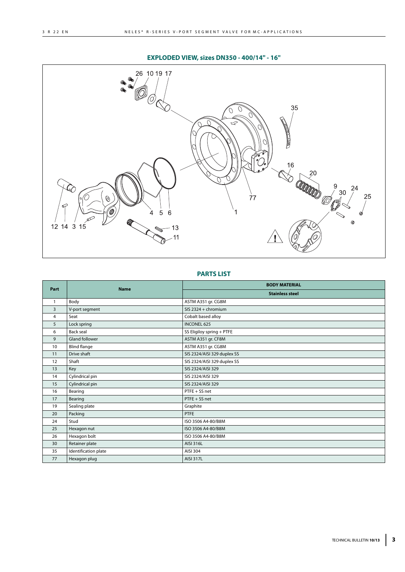# **EXPLODED VIEW, sizes DN350 - 400/14" - 16"**



### **PARTS LIST**

| Part           | <b>Name</b>           | <b>BODY MATERIAL</b>        |
|----------------|-----------------------|-----------------------------|
|                |                       | <b>Stainless steel</b>      |
| $\mathbf{1}$   | Body                  | ASTM A351 gr. CG8M          |
| $\overline{3}$ | V-port segment        | SIS 2324 + chromium         |
| $\overline{4}$ | Seat                  | Cobalt based alloy          |
| 5              | Lock spring           | <b>INCONEL 625</b>          |
| 6              | <b>Back seal</b>      | SS Eligiloy spring + PTFE   |
| 9              | <b>Gland follower</b> | ASTM A351 gr. CF8M          |
| 10             | <b>Blind flange</b>   | ASTM A351 gr. CG8M          |
| 11             | Drive shaft           | SIS 2324/AISI 329 duplex SS |
| 12             | Shaft                 | SIS 2324/AISI 329 duplex SS |
| 13             | Key                   | SIS 2324/AISI 329           |
| 14             | Cylindrical pin       | SIS 2324/AISI 329           |
| 15             | Cylindrical pin       | SIS 2324/AISI 329           |
| 16             | Bearing               | PTFE + SS net               |
| 17             | Bearing               | PTFE + SS net               |
| 19             | Sealing plate         | Graphite                    |
| 20             | Packing               | <b>PTFE</b>                 |
| 24             | Stud                  | ISO 3506 A4-80/B8M          |
| 25             | Hexagon nut           | ISO 3506 A4-80/B8M          |
| 26             | Hexagon bolt          | ISO 3506 A4-80/B8M          |
| 30             | Retainer plate        | AISI 316L                   |
| 35             | Identification plate  | AISI 304                    |
| 77             | Hexagon plug          | <b>AISI 317L</b>            |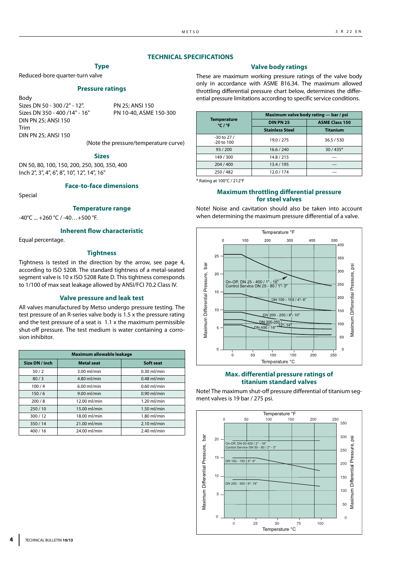#### **TECHNICAL SPECIFICATIONS**

# **Type**

Reduced-bore quarter-turn valve

#### **Pressure ratings**

Body Sizes DN 50 - 300 /2" - 12". PN 25; ANSI 150 Sizes DN 350 - 400 /14" - 16" PN 10-40, ASME 150-300 DIN PN 25; ANSI 150 Trim DIN PN 25; ANSI 150

(Note the pressure/temperature curve)

#### **Sizes**

DN 50, 80, 100, 150, 200, 250, 300, 350, 400 Inch 2", 3", 4", 6", 8", 10", 12", 14", 16"

**Face-to-face dimensions**

Special

#### **Temperature range**

-40°C ... +260 °C / -40…+500 °F.

#### **Inherent flow characteristic**

Equal percentage.

## **Tightness**

Tightness is tested in the direction by the arrow, see page 4, according to ISO 5208. The standard tightness of a metal-seated segment valve is 10 x ISO 5208 Rate D. This tightness corresponds to 1/100 of max seat leakage allowed by ANSI/FCI 70.2 Class IV.

#### **Valve pressure and leak test**

All valves manufactured by Metso undergo pressure testing. The test pressure of an R-series valve body is 1.5 x the pressure rating and the test pressure of a seat is 1.1 x the maximum permissible shut-off pressure. The test medium is water containing a corrosion inhibitor.

|                | Maximum allowable leakage |               |  |  |  |  |  |  |  |  |  |  |  |  |
|----------------|---------------------------|---------------|--|--|--|--|--|--|--|--|--|--|--|--|
| Size DN / inch | <b>Metal</b> seat         | Soft seat     |  |  |  |  |  |  |  |  |  |  |  |  |
| 50/2           | $3.00$ ml/min             | $0.30$ ml/min |  |  |  |  |  |  |  |  |  |  |  |  |
| 80/3           | 4.80 ml/min               | $0.48$ ml/min |  |  |  |  |  |  |  |  |  |  |  |  |
| 100/4          | $6.00$ ml/min             | $0.60$ ml/min |  |  |  |  |  |  |  |  |  |  |  |  |
| 150/6          | $9.00$ ml/min             | $0.90$ ml/min |  |  |  |  |  |  |  |  |  |  |  |  |
| 200/8          | $12.00$ ml/min            | $1.20$ ml/min |  |  |  |  |  |  |  |  |  |  |  |  |
| 250/10         | 15.00 ml/min              | $1.50$ ml/min |  |  |  |  |  |  |  |  |  |  |  |  |
| 300/12         | 18.00 ml/min              | $1.80$ ml/min |  |  |  |  |  |  |  |  |  |  |  |  |
| 350/14         | 21.00 ml/min              | $2.10$ ml/min |  |  |  |  |  |  |  |  |  |  |  |  |
| 400/16         | 24.00 ml/min              | $2.40$ ml/min |  |  |  |  |  |  |  |  |  |  |  |  |

#### **Valve body ratings**

These are maximum working pressure ratings of the valve body only in accordance with ASME B16.34. The maximum allowed throttling differential pressure chart below, determines the differential pressure limitations according to specific service conditions.

|                                   | Maximum valve body rating - bar / psi |                       |
|-----------------------------------|---------------------------------------|-----------------------|
| <b>Temperature</b><br>$°C$ / $°F$ | <b>DIN PN 25</b>                      | <b>ASME Class 150</b> |
|                                   | <b>Stainless Steel</b>                | <b>Titanium</b>       |
| $-30$ to 27 /<br>$-20$ to $100$   | 19.0 / 275                            | 36.5 / 530            |
| 93/200                            | 16.6 / 240                            | $30/435*$             |
| 149/300                           | 14.8 / 215                            |                       |
| 204/400                           | 13.4 / 195                            |                       |
| 250/482                           | 12.0 / 174                            |                       |

\* Rating at 100°C / 212°F

### **Maximum throttling differential pressure for steel valves**

Note! Noise and cavitation should also be taken into account when determining the maximum pressure differential of a valve.



#### **Max. differential pressure ratings of titanium standard valves**

Note! The maximum shut-off pressure differential of titanium segment valves is 19 bar / 275 psi.



**4** TECHNICAL BULLETIN **10/13**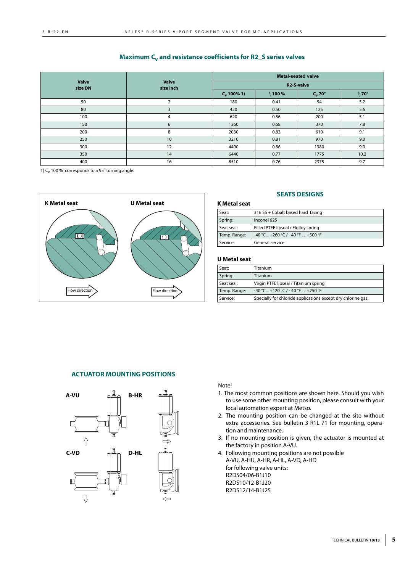## **Maximum C<sub>v</sub> and resistance coefficients for R2\_S series valves**

|                         |                           | <b>Metal-seated valve</b> |         |                     |           |  |  |  |  |  |  |
|-------------------------|---------------------------|---------------------------|---------|---------------------|-----------|--|--|--|--|--|--|
| <b>Valve</b><br>size DN | <b>Valve</b><br>size inch | R2-S-valve                |         |                     |           |  |  |  |  |  |  |
|                         |                           | $C_v 100\% 1$             | ξ 100 % | $C_v$ 70 $^{\circ}$ | $\xi$ 70° |  |  |  |  |  |  |
| 50                      | $\overline{2}$            | 180                       | 0.41    | 54                  | 5.2       |  |  |  |  |  |  |
| 80                      | 3                         | 420                       | 0.50    | 125                 | 5.6       |  |  |  |  |  |  |
| 100                     | 4                         | 620                       | 0.56    | 200                 | 5.1       |  |  |  |  |  |  |
| 150                     | 6                         | 1260                      | 0.68    | 370                 | 7.8       |  |  |  |  |  |  |
| 200                     | 8                         | 2030                      | 0.83    | 610                 | 9.1       |  |  |  |  |  |  |
| 250                     | 10                        | 3210                      | 0.81    | 970                 | 9.0       |  |  |  |  |  |  |
| 300                     | 12                        | 4490                      | 0.86    | 1380                | 9.0       |  |  |  |  |  |  |
| 350                     | 14                        | 6440                      | 0.77    | 1775                | 10.2      |  |  |  |  |  |  |
| 400                     | 16                        | 8510                      | 0.76    | 2375                | 9.7       |  |  |  |  |  |  |

1)  $C_v$  100 % corresponds to a 95 $^{\circ}$  turning angle.



### **SEATS DESIGNS**

#### **K Metal seat**

| Seat:        | 316 SS + Cobalt based hard facing    |
|--------------|--------------------------------------|
| Spring:      | Inconel 625                          |
| Seat seal:   | Filled PTFE lipseal / Elgiloy spring |
| Temp. Range: | $-40$ °C +260 °C / - 40 °F  +500 °F  |
| Service:     | General service                      |

#### **U Metal seat**

| Seat:        | <b>Titanium</b>                                              |
|--------------|--------------------------------------------------------------|
| Spring:      | Titanium                                                     |
| Seat seal:   | Virgin PTFE lipseal / Titanium spring                        |
| Temp. Range: | $-40$ °C +120 °C / - 40 °F  +250 °F                          |
| Service:     | Specially for chloride applications except dry chlorine gas. |

## **ACTUATOR MOUNTING POSITIONS**



Note!

- 1. The most common positions are shown here. Should you wish to use some other mounting position, please consult with your local automation expert at Metso.
- 2. The mounting position can be changed at the site without extra accessories. See bulletin 3 R1L 71 for mounting, operation and maintenance.
- 3. If no mounting position is given, the actuator is mounted at the factory in position A-VU.
- 4. Following mounting positions are not possible A-VU, A-HU, A-HR, A-HL, A-VD, A-HD for following valve units: R2DS04/06-B1J10 R2DS10/12-B1J20 R2DS12/14-B1J25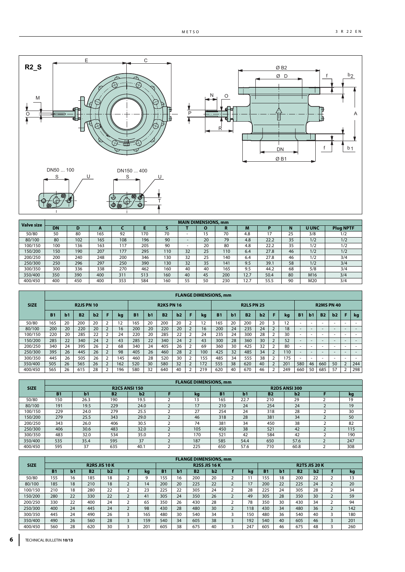A



| <b>Valve size</b> |           |     |     |     |     |     |    | <b>MAIN DIMENSIONS, mm</b> |     |      |      |    |                 |                  |
|-------------------|-----------|-----|-----|-----|-----|-----|----|----------------------------|-----|------|------|----|-----------------|------------------|
|                   | <b>DN</b> |     | . . |     |     |     |    |                            |     | М    |      |    | <b>U UNC</b>    | <b>Plug NPTF</b> |
| 50/80             | 50        | 80  | 165 | 92  | 170 | 70  |    |                            | 70  | 4.8  |      | 25 | 3/8             | 1/2              |
| 80/100            | 80        | 102 | 165 | 108 | 196 | 90  |    | 20                         | 79  | 4.8  | 22.2 | 35 | 1/2             | 1/2              |
| 100/150           | 100       | 36  | 163 | 117 | 205 | 90  |    | 20                         | 80  | 4.8  | 22.2 | 35 | 1/2             | 1/2              |
| 150/200           | 150       | 190 | 207 | 177 | 295 | 110 | 32 | 25                         | 110 | 6.4  | 27.8 | 46 | 1/2             | 1/2              |
| 200/250           | 200       | 240 | 248 | 200 | 346 | 130 | 32 | 25                         | 140 | 6.4  | 27.8 | 46 | 1/2             | 3/4              |
| 250/300           | 250       | 296 | 297 | 250 | 390 | 130 | 32 | 35                         | 141 | 9.5  | 39.1 | 58 | 1/2             | 3/4              |
| 300/350           | 300       | 336 | 338 | 270 | 462 | 160 | 40 | 40                         | 165 | 9.5  | 44.2 | 68 | 5/8             | 3/4              |
| 350/400           | 350       | 390 | 400 | 311 | 513 | 160 | 40 | 45                         | 200 | 12.7 | 50.4 | 80 | M <sub>16</sub> | 3/4              |
| 400/450           | 400       | 450 | 400 | 353 | 584 | 160 | 55 | 50                         | 230 | 12.7 | 55.5 | 90 | M20             | 3/4              |

|             | <b>FLANGE DIMENSIONS, mm</b> |    |                   |    |                   |                |                   |                |           |    |   |                   |           |    |           |    |                |                   |                          |                          |                          |                          |                          |                          |
|-------------|------------------------------|----|-------------------|----|-------------------|----------------|-------------------|----------------|-----------|----|---|-------------------|-----------|----|-----------|----|----------------|-------------------|--------------------------|--------------------------|--------------------------|--------------------------|--------------------------|--------------------------|
| <b>SIZE</b> |                              |    | <b>R2JS PN 10</b> |    |                   |                | <b>R2KS PN 16</b> |                |           |    |   | <b>R2LS PN 25</b> |           |    |           |    |                | <b>R2MS PN 40</b> |                          |                          |                          |                          |                          |                          |
|             | B1                           | b1 | <b>B2</b>         | b2 |                   | kg             | <b>B1</b>         | b <sub>1</sub> | <b>B2</b> | b2 |   | kq                | <b>B1</b> | b1 | <b>B2</b> | b2 |                | kq                | <b>B1</b>                | b1                       | <b>B2</b>                | b2                       | F                        | kg                       |
| 50/80       | 165                          | 20 | 200               | 20 | C.                | $\overline{2}$ | 165               | 20             | 200       | 20 | h | 12                | 165       | 20 | 200       | 20 |                | 12                | ۰                        |                          |                          | -                        | -                        |                          |
| 80/100      | 200                          | 20 | 220               | 20 | <sup>1</sup>      | 16             | 200               | 20             | 220       | 20 |   | 16                | 200       | 24 | 235       | 24 | $\overline{2}$ | 18                | $\overline{\phantom{a}}$ | -                        | $\sim$                   |                          |                          | $\overline{\phantom{a}}$ |
| 100/150     | 220                          | 20 | 285               | 22 | ∽                 | 24             | 220               | 20             | 285       | 22 |   | 24                | 235       | 24 | 300       | 28 |                | 30                | ۰                        | -                        | ۰                        | -                        | $\sim$                   | $\overline{\phantom{a}}$ |
| 150/200     | 285                          | 22 | 340               | 24 | <sup>1</sup>      | 43             | 285               | 22             | 340       | 24 |   | 43                | 300       | 28 | 360       | 30 |                | 52                | $\overline{\phantom{a}}$ | -                        | $\sim$                   | $\overline{\phantom{a}}$ | $\overline{\phantom{a}}$ | $\overline{\phantom{a}}$ |
| 200/250     | 340                          | 24 | 395               | 26 | ∍                 | 68             | 340               | 24             | 405       | 26 |   | 69                | 360       | 30 | 425       | 32 |                | 80                | ۰                        |                          | -                        |                          |                          |                          |
| 250/300     | 395                          | 26 | 445               | 26 |                   | 98             | 405               | 26             | 460       | 28 |   | 100               | 425       | 32 | 485       | 34 |                | 110               | $\overline{\phantom{a}}$ | $\overline{\phantom{a}}$ | $\overline{\phantom{a}}$ | <b>1999</b>              |                          | $\overline{\phantom{a}}$ |
| 300/350     | 445                          | 26 | 505               | 26 | ∍                 | 145            | 460               | 28             | 520       | 30 |   | 155               | 485       | 34 | 555       | 38 |                | 175               | $\overline{\phantom{a}}$ |                          | -                        | ۰                        | $\sim$                   | $\overline{\phantom{a}}$ |
| 350/400     | 505                          | 26 | 565               | 26 | $\mathbf{\Gamma}$ | 162            | 520               | 30             | 580       | 32 |   | 172               | 555       | 38 | 620       | 40 | $\overline{2}$ | 201               | 580                      | 46                       | 660                      | 50                       | $\overline{2}$           | 244                      |
| 400/450     | 565                          | 26 | 615               | 28 |                   | 196            | 580               | 32             | 640       | 40 |   | 219               | 620       | 40 | 670       | 46 |                | 249               | 660                      | 50                       | 685                      | 57                       |                          | 298                      |

|             | <b>FLANGE DIMENSIONS, mm</b> |      |           |                      |  |     |                      |      |           |      |  |     |  |  |
|-------------|------------------------------|------|-----------|----------------------|--|-----|----------------------|------|-----------|------|--|-----|--|--|
| <b>SIZE</b> |                              |      |           | <b>R2CS ANSI 150</b> |  |     | <b>R2DS ANSI 300</b> |      |           |      |  |     |  |  |
|             | <b>B1</b>                    | b1   | <b>B2</b> | b2                   |  | kg  | <b>B1</b>            | b1   | <b>B2</b> | b2   |  | kg  |  |  |
| 50/80       | 150                          | 26.3 | 190       | 19.5                 |  | 13  | 165                  | 22.7 | 210       | 29   |  | 19  |  |  |
| 80/100      | 191                          | 19.5 | 229       | 24.0                 |  | 17  | 210                  | 24   | 254       | 24   |  | 19  |  |  |
| 100/150     | 229                          | 24.0 | 279       | 25.5                 |  | 27  | 254                  | 24   | 318       | 28   |  | 30  |  |  |
| 150/200     | 279                          | 25.5 | 343       | 29.0                 |  | 46  | 318                  | 28   | 381       | 34   |  | 50  |  |  |
| 200/250     | 343                          | 26.0 | 406       | 30.5                 |  | 74  | 381                  | 34   | 450       | 38   |  | 82  |  |  |
| 250/300     | 406                          | 30.6 | 483       | 32.0                 |  | 105 | 450                  | 38   | 521       | 42   |  | 115 |  |  |
| 300/350     | 483                          | 32.0 | 534       | 35.0                 |  | 170 | 521                  | 42   | 584       | 42   |  | 190 |  |  |
| 350/400     | 535                          | 35.4 | 595       | 37                   |  | 187 | 585                  | 54.4 | 650       | 57.6 |  | 247 |  |  |
| 400/450     | 595                          | 37   | 635       | 40.1                 |  | 225 | 650                  | 57.6 | 710       | 60.8 |  | 308 |  |  |

|             | <b>FLANGE DIMENSIONS, mm</b> |                |                      |    |   |            |                      |    |           |    |               |                      |           |    |           |    |                          |           |
|-------------|------------------------------|----------------|----------------------|----|---|------------|----------------------|----|-----------|----|---------------|----------------------|-----------|----|-----------|----|--------------------------|-----------|
| <b>SIZE</b> |                              |                | <b>R2RS JIS 10 K</b> |    |   |            | <b>R2SS JIS 16 K</b> |    |           |    |               | <b>R2TS JIS 20 K</b> |           |    |           |    |                          |           |
|             | <b>B1</b>                    | b <sub>1</sub> | <b>B2</b>            | b2 |   | kg         | <b>B1</b>            | b1 | <b>B2</b> | b2 |               | kq                   | <b>B1</b> | b1 | <b>B2</b> | b2 |                          | <b>kg</b> |
| 50/80       | 155                          | 16             | 185                  | 18 |   | $\sqrt{2}$ | 155                  | 16 | 200       | 20 |               |                      | 155       | 18 | 200       | 22 |                          | 13        |
| 80/100      | 185                          | 18             | 210                  | 18 |   | 14         | 200                  | 20 | 225       | 22 |               | 17                   | 200       | 22 | 225       | 24 | $\overline{\phantom{0}}$ | 20        |
| 100/150     | 210                          | 18             | 280                  | 22 |   | 23         | 225                  | 22 | 305       | 24 |               | 28                   | 225       | 24 | 305       | 28 | ∽                        | 34        |
| 150/200     | 280                          | 22             | 330                  | 22 |   | 41         | 305                  | 24 | 350       | 26 |               | 49                   | 305       | 28 | 350       | 30 | $\overline{\phantom{0}}$ | 59        |
| 200/250     | 330                          | 22             | 400                  | 24 |   | 65         | 350                  | 26 | 430       | 28 |               | 78                   | 350       | 30 | 430       | 34 | -                        | 94        |
| 250/300     | 400                          | 24             | 445                  | 24 |   | 98         | 430                  | 28 | 480       | 30 | $\mathcal{P}$ | 118                  | 430       | 34 | 480       | 36 | $\overline{\phantom{0}}$ | 142       |
| 300/350     | 445                          | 24             | 490                  | 26 |   | 165        | 480                  | 30 | 540       | 34 |               | 150                  | 480       | 36 | 540       | 40 |                          | 180       |
| 350/400     | 490                          | 26             | 560                  | 28 | 3 | 159        | 540                  | 34 | 605       | 38 | 3             | 192                  | 540       | 40 | 605       | 46 | 3                        | 201       |
| 400/450     | 560                          | 28             | 620                  | 30 |   | 201        | 605                  | 38 | 675       | 40 |               | 247                  | 605       | 46 | 675       | 48 |                          | 260       |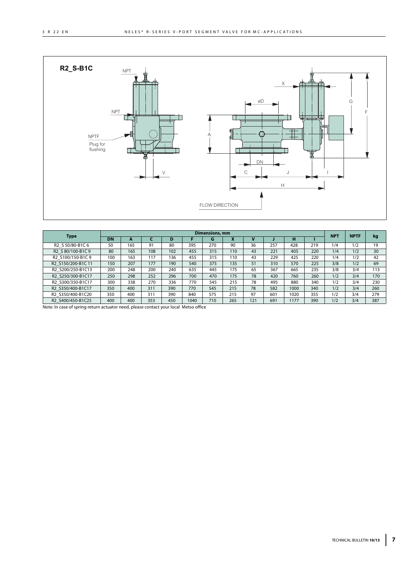

|                    | Dimensions, mm |              |     |     |      |     |     |     |     |      |     |     | <b>NPTF</b> | kg  |
|--------------------|----------------|--------------|-----|-----|------|-----|-----|-----|-----|------|-----|-----|-------------|-----|
| Type               | <b>DN</b>      | $\mathbf{r}$ |     | D   |      | G   |     |     |     | н    |     |     | <b>NPT</b>  |     |
| R2 S 50/80-B1C 6   | 50             | 165          | 91  | 80  | 395  | 270 | 90  | 36  | 257 | 428  | 219 | 1/4 | 1/2         | 19  |
| R2 S 80/100-B1C 9  | 80             | 165          | 108 | 102 | 455  | 315 | 110 | 43  | 221 | 405  | 220 | 1/4 | 1/2         | 30  |
| R2 S100/150-B1C 9  | 100            | 163          | 117 | 136 | 455  | 315 | 110 | 43  | 229 | 425  | 220 | 1/4 | 1/2         | 42  |
| R2 S150/200-B1C 11 | 150            | 207          | 177 | 190 | 540  | 375 | 135 | 51  | 310 | 570  | 225 | 3/8 | 1/2         | 69  |
| R2 S200/250-B1C13  | 200            | 248          | 200 | 240 | 635  | 445 | 175 | 65  | 367 | 665  | 235 | 3/8 | 3/4         | 113 |
| R2 S250/300-B1C17  | 250            | 298          | 252 | 296 | 700  | 470 | 175 | 78  | 420 | 760  | 260 | 1/2 | 3/4         | 170 |
| R2 S300/350-B1C17  | 300            | 338          | 270 | 336 | 770  | 545 | 215 | 78  | 495 | 880  | 340 | 1/2 | 3/4         | 230 |
| R2 S350/400-B1C17  | 350            | 400          | 311 | 390 | 770  | 545 | 215 | 78  | 582 | 1000 | 340 | 1/2 | 3/4         | 260 |
| R2 S350/400-B1C20  | 350            | 400          | 311 | 390 | 840  | 575 | 215 | 97  | 601 | 1020 | 355 | 1/2 | 3/4         | 279 |
| R2 S400/450-B1C25  | 400            | 400          | 353 | 450 | 1040 | 710 | 265 | 121 | 691 | 1177 | 390 | 1/2 | 3/4         | 387 |

Note: In case of spring-return actuator need, please contact your local Metso office